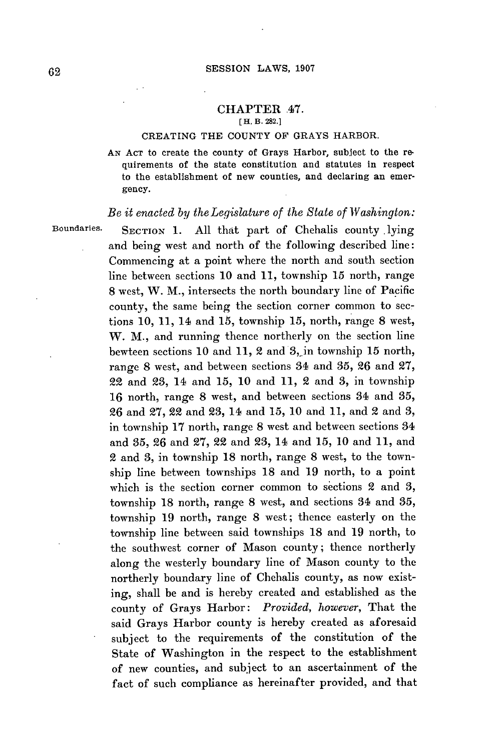### **CHAPTER** .47. **[H. B. 282.]**

### **CREATING** THE **COUNTY** OF GRAYS HARBOR.

**AN ACT** to create the county of Grays Harbor, subject to the requirements of the state constitution and statutes in respect to the establishment of new counties, and declaring an emergency.

# *Be it enacted by theLegislature of the State of Washington:*

**Boundaries. SECTION 1. All** that part of Chehalis county .lying and being west and north of the following described line: Commencing at a point where the north and south section line between sections **10** and **11,** township **15** north, range **8** west, W. M., intersects the north boundary line of Pacific county, the same being the section corner common to sections **10, 11,** 14 and **15,** township **15,** north, range **8** west, W. M., and running thence northerly on the section line bewteen sections **10** and **11,** 2 and 3, in township **15** north, range **8** west, and between sections 34 and **35, 26** and **27,** 22 and **23,** 14 and **15, 10** and **11,** 2 and **3,** in township **16** north, range **8** west, and between sections 34 and **35, 26** and **27,** 22 and **23,** 14 and **15, 10** and **11,** and 2 and **3,** in township **17** north, range **8** west and between sections 34 and **35, 26** and **27, 22** and **23,** 14 and **15, 10** and **11,** and 2 and **3,** in township **18** north, range **8** west, to the township line between townships **18** and **19** north, to a point which is the section corner common to sections 2 and **3,** township **18** north, range **8** west, and sections 34 and **35,** township **19** north, range **8** west; thence easterly on the township line between said townships **18** and **19** north, to the southwest corner of Mason county; thence northerly along the westerly boundary line of Mason county to the northerly boundary line of Chehalis county, as now existing, shall be and is hereby created and established as the county of Grays Harbor: *Provided, however,* That the said Grays Harbor county is hereby created as aforesaid subject to the requirements of the constitution of the State of Washington in the respect to the establishment of new counties, and subject to an ascertainment of the fact of such compliance as hereinafter provided, and that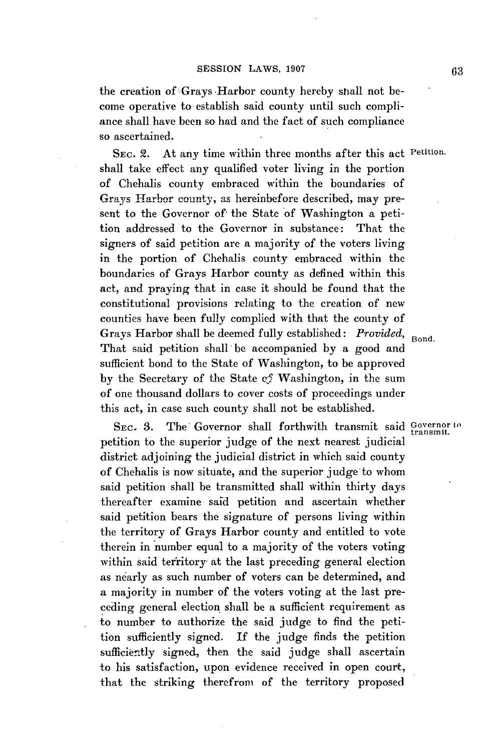the creation of Grays Harbor county hereby shall not become operative to establish said county until such compliance shall have been so had and the fact of such compliance so ascertained.

**SEC.** 2. At any time within three months after this act Petition. shall take effect any qualified voter living in the portion of Chehalis county embraced within the boundaries of Grays Harbor county, **as** hereinbefore described, may present to the Governor of' the State of Washington a petition addressed to the Governor in substance: That the signers of said petition are a majority of the voters living in the portion of Chehalis county embraced within the boundaries of Grays Harbor county as defined within this act, and praying that in case it should be found that the constitutional provisions relating to the creation of new counties have been fully complied with that the county of Grays Harbor shall be deemed fully established: *Provided*, Bond. That said petition shall be accompanied **by** a good and sufficient bond to the State of Washington, to be approved **by** the Secretary of the State **q5** Washington, in the sum of one thousand dollars to cover costs of proceedings under this act, in case such county shall not be established.

SEC. 3. The Governor shall forthwith transmit said Governor to petition to the superior judge of the next nearest judicial district adjoining the judicial district in which said county of Chehalis is now situate, and the superior judge to whom said petition shall be transmitted shall within thirty days thereafter examine said petition and ascertain whether said petition bears the signature of persons living within the territory of Grays Harbor county and entitled to vote therein in number equal to a majority of the voters voting within said territory at the last preceding general election as nearly as such number of voters can be determined, and a majority in number of the voters voting at the last preceding general election shall be a sufficient requirement as to number to authorize the said judge to find the petition sufficiently signed. **If** the judge finds the petition sufficiently signed, then the said judge shall ascertain to his satisfaction, upon evidence received in open court, that the striking therefrom of the territory proposed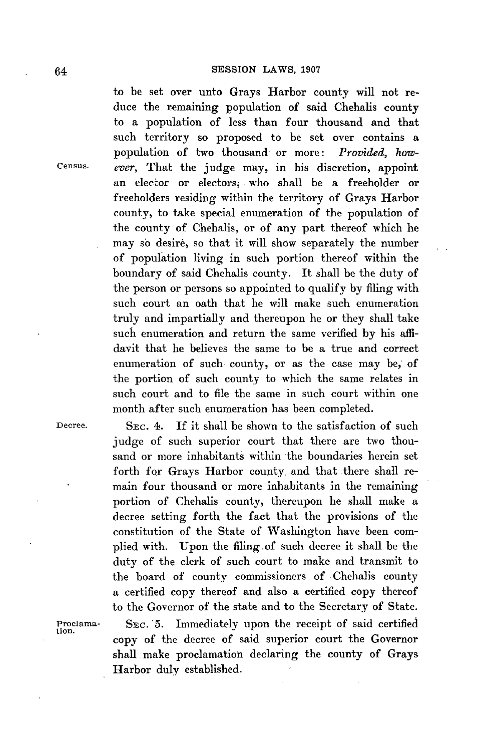to be set over unto Grays Harbor county will not reduce the remaining population of said Chehalis county to a population of less than four thousand and that such territory so proposed to be set over contains a population of two thousand- or more: *Provided, how-*Census. *ever,* That the judge may, in his discretion, appoint an elector or electors, who shall be a freeholder or freeholders residing within the territory of Grays Harbor county, to take special enumeration of the population of the county of Chehalis, or of any part thereof which he may so desire, so that it will show separately the number **of** population living in such portion thereof within the boundary of said Chehalis county. It shall be the duty of the person or persons so appointed to qualify **by** filing with such court an oath that he will make such enumeration truly and impartially and thereupon he or they shall take such enumeration and return the same verified **by** his affidavit that he believes the same to be a true and correct enumeration of such county, or as the case may be, of the portion of such county to which the same relates in such court and to file the same in such court within one month after such enumeration has been completed.

Decree. **SEc.** 4. **If** it shall be shown to the satisfaction of such judge of such superior court that there are two thousand or more inhabitants within the boundaries herein set forth for Grays Harbor county. and that there shall remain four thousand or more inhabitants in the remaining portion of Chehalis county, thereupon he shall make a decree setting forth the fact that the provisions of the constitution of the State of Washington have been complied with. Upon the filing of such decree it shall be the duty of the clerk of such court to make and transmit to the board of county commissioners of Chehalis county a certified copy thereof and also a certified copy thereof to the Governor of the state and to the Secretary of State. Proclama- SEc. 5. Immediately upon the receipt of said certified **tion.** copy of the decree of said superior court the Governor

shall make proclamation declaring the county of Grays Harbor duly established.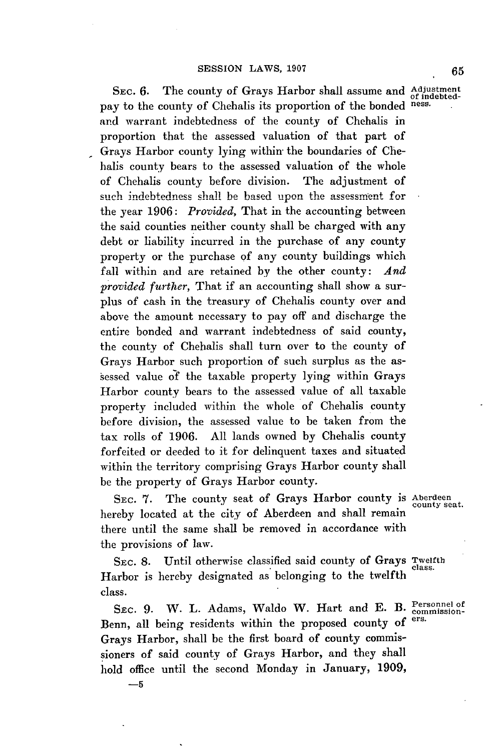SEC. 6. The county of Grays Harbor shall assume and Adjustment pay to the county of Chehalis its proportion of the bonded ness. and warrant indebtedness of the county of Chehalis in proportion that the assessed valuation of that part of Grays Harbor county lying within the boundaries of Chehalis county bears to the assessed valuation of the whole of Chehalis county before division. The adjustment of such indebtedness shall be based upon the assessment for the year **1906:** *Provided,* That in the accounting between the said counties neither county shall be charged with any debt or liability incurred in the purchase of any county property or the purchase **of** any county buildings which fall within and are retained **by** the other county: *And provided further,* That if an accounting shall show a surplus of cash in the treasury of Chehalis county over and above the amount necessary to pay off and discharge the entire bonded and warrant indebtedness of said county, the county of Chehalis shall turn over to the county of Grays Harbor such proportion of such surplus as the assessed value **of** the taxable property lying within Grays Harbor county bears to the assessed value of all taxable property included within the whole of Chehalis county before division, the assessed value to be taken from the tax rolls of **1906. All** lands owned **by** Chehalis county forfeited or deeded to it for delinquent taxes and situated within the territory comprising Grays Harbor county shall be the property of Grays Harbor county.

**SEC. 7.** The county seat of Grays Harbor county **is** Aberdeen county seat. hereby located at the city of Aberdeen and shall remain there until the same shall be removed in accordance with the provisions of law.

SEC. 8. Until otherwise classified said county of Grays Twelfth Harbor is hereby designated as belonging to the twelfth class.

SEC. 9. W. L. Adams, Waldo W. Hart and E. B. Personnel of commission-Benn, all being residents within the proposed county of Grays Harbor, shall be the first board of county commissioners of said county of Grays Harbor, and they shall hold office until the second Monday in January, **1909,**

**-5**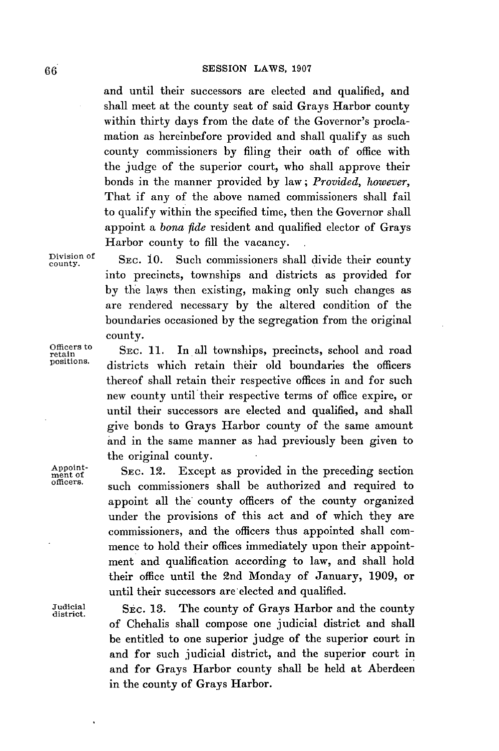and until their successors are elected and qualified, and shall meet at the county seat of said Grays Harbor county within thirty days from the date of the Governor's proclamation as hereinbefore provided and shall qualify as such county commissioners **by** filing their oath of office with the judge of the superior court, who shall approve their bonds in the manner provided **by** law; *Provided, however,* That if any of the above named commissioners shall fail to qualify within the specified time, then the Governor shall appoint a *bona fide* resident and qualified elector of Grays Harbor county to **fill** the vacancy.

Division of **SEC. 10.** Such commissioners shall divide their county into precincts, townships and districts as provided for **by** the laws then existing, making only such changes as are rendered necessary **by** the altered condition of the boundaries occasioned **by** the segregation from the original county.

Officers to **SEC. 11.** In all townships, precincts, school and road positions. districts which retain their also been derived the continuous districts which retain their old boundaries the officers thereof shall retain their respective offices in and for such new county until their respective terms of office expire, or until their successors are elected and qualified, and shall give bonds to Grays Harbor county of the same amount and in the same manner as had previously been given to the original county.

Appoint SEC. 12. Except as provided in the preceding section<br>officers. such commissioners shall be authorized and required to appoint all the county officers of the county organized under the provisions of this act and of which they are commissioners, and the officers thus appointed shall commence to hold their offices immediately upon their appointment and qualification according to law, and shall hold their office until the 2nd Monday of January, **1909,** or until their successors are elected and qualified.

Judicial SEC. **13.** The county of Grays Harbor and the county district. of Chehalis shall compose one judicial district and shall be entitled to one superior judge of the superior court in and for such judicial district, and the superior court in and for Grays Harbor county shall be held at Aberdeen in the county of Grays Harbor.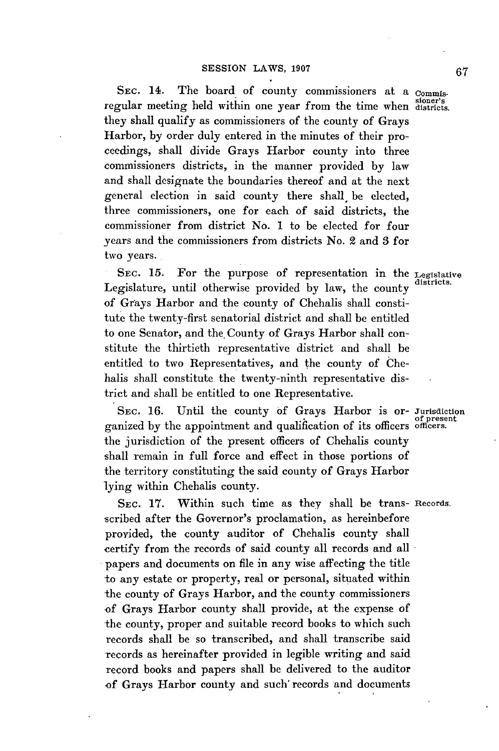SEC. 14. The board of county commissioners at a Commissionier's regular meeting held within one year from the time when districts. they shall qualify as commissioners of the county of Grays Harbor, **by** order duly entered in the minutes of their proceedings, shall divide Grays Harbor county into three commissioners districts, in the manner provided **by** law and shall designate the boundaries thereof and at the next general election in said county there shall, be elected, three commissioners, one for each of said districts, the commissioner from district No. 1 to be elected for four years and the commissioners from districts No. 2 and **3** for two years.

SEC. **15.** For the purpose of representation in the Legislative Legislature, until otherwise provided by law, the county of Grays Harbor and the county of Chehalis shall constitute the twenty-first senatorial district and shall be entitled to one Senator, and the, County of Grays Harbor shall constitute the thirtieth representative district and shall be entitled to two Representatives, and the county of Chehalis shall constitute the twenty-ninth representative district and shall be entitled to one Representative.

**SEC. 16.** Until the county of Grays Harbor is or- Jurisdiction ganized by the appointment and qualification of its officers officers. the jurisdiction of the present officers of Chehalis county shall remain in full force and effect in those portions of the territory constituting the said county of Grays Harbor lying within Chehalis county.

**SEC. 17.** Within such time as they shall be trans- Records. scribed after the Governor's proclamation, as hereinbefore provided, the county auditor of Chehalis county shall certify from the records of said county all records and all papers and documents on file in any wise affecting the title to any estate or property, real or personal, situated within the county of Grays Harbor, and the county commissioners of Grays Harbor county shall provide, at the expense of the county, proper and suitable record books to which such records shall be so transcribed, and shall transcribe said records as hereinafter provided in legible writing and said record books and papers shall be delivered to the auditor of Grays Harbor county and such' records and documents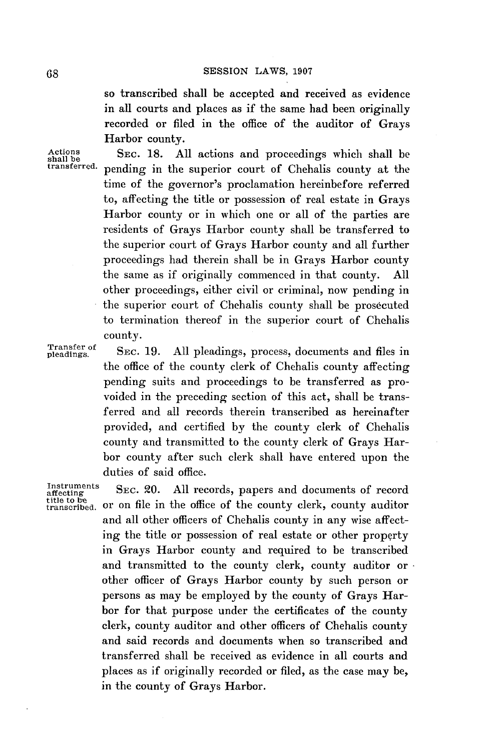so transcribed shall be accepted and received as evidence in all courts and places as if the same had been originally recorded or filed in the office of the auditor of Grays Harbor county.

Actions SEC. 18. All actions and proceedings which shall be shall be shall be shall be shall be transferred, panding in the superior count of Chebelia county at the pending in the superior court of Chehalis county at the time of the governor's proclamation hereinbefore referred to, affecting the title or possession of real estate in Grays Harbor county or in which one or all of the parties are residents of Grays Harbor county shall be transferred to the superior court of Grays Harbor county and all further proceedings had therein shall be in Grays Harbor county the same as if originally commenced in that county. **All** other proceedings, either civil or criminal, now pending in the superior court of Chehalis county shall be prosecuted to termination thereof in the superior court of Chehalis county.

Transfer of SEC. 19. All pleadings, process, documents and files in the office of the county clerk of Chehalis county affecting pending suits and proceedings to be transferred as provoided in the preceding section of this act, shall be transferred and all records therein transcribed as hereinafter provided, and certified **by** the county clerk of Chehalis county and transmitted to the county clerk of Grays Harbor county after such clerk shall have entered upon the duties of said office.

Instruments SEC. 20. All records, papers and documents of record title to b-e transcribed. or on file in the office of the county clerk, county auditor and all other officers of Chehalis county in any wise affecting the title or possession of real estate or other property in Grays Harbor county and required to be transcribed and transmitted to the county clerk, county auditor or other officer of Grays Harbor county **by** such person or persons as may be employed **by** the county of Grays Harbor for that purpose under the certificates of the county clerk, county auditor and other officers of Chehalis county and said records and documents when so transcribed and transferred shall be received as evidence in all courts and places as if originally recorded or filed, as the case may be, in the county of Grays Harbor.